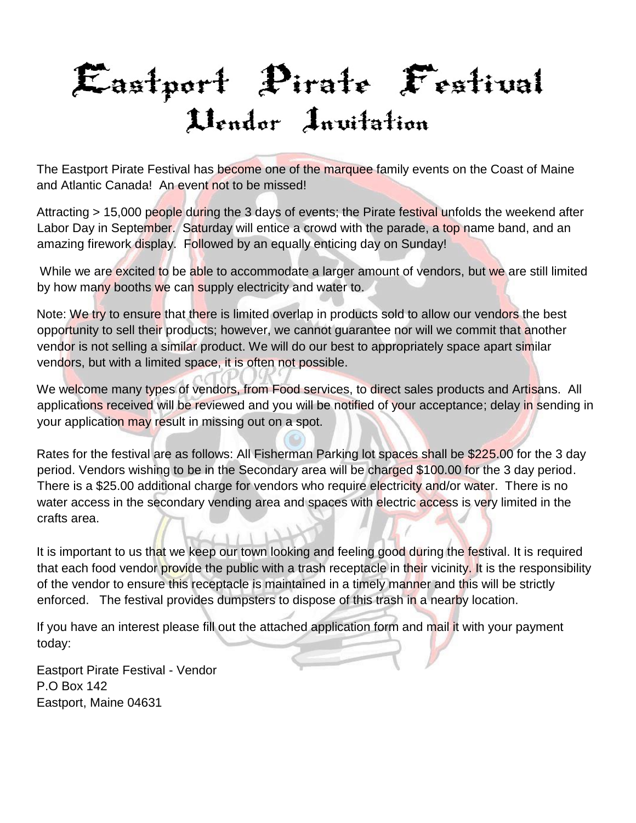## Eastport Pirate Festival Uendor Invitation

The Eastport Pirate Festival has become one of the marquee family events on the Coast of Maine and Atlantic Canada! An event not to be missed!

Attracting > 15,000 people during the 3 days of events; the Pirate festival unfolds the weekend after Labor Day in September. Saturday will entice a crowd with the parade, a top name band, and an amazing firework display. Followed by an equally enticing day on Sunday!

While we are excited to be able to accommodate a larger amount of vendors, but we are still limited by how many booths we can supply electricity and water to.

Note: We try to ensure that there is limited overlap in products sold to allow our vendors the best opportunity to sell their products; however, we cannot guarantee nor will we commit that another vendor is not selling a similar product. We will do our best to appropriately space apart similar vendors, but with a limited space, it is often not possible.

We welcome many types of vendors, from Food services, to direct sales products and Artisans. All applications received will be reviewed and you will be notified of your acceptance; delay in sending in your application may result in missing out on a spot.

Rates for the festival are as follows: All Fisherman Parking lot spaces shall be \$225.00 for the 3 day period. Vendors wishing to be in the Secondary area will be charged \$100.00 for the 3 day period. There is a \$25.00 additional charge for vendors who require electricity and/or water. There is no water access in the secondary vending area and spaces with electric access is very limited in the crafts area.

It is important to us that we keep our town looking and feeling good during the festival. It is required that each food vendor provide the public with a trash receptacle in their vicinity. It is the responsibility of the vendor to ensure this receptacle is maintained in a timely manner and this will be strictly enforced. The festival provides dumpsters to dispose of this trash in a nearby location.

If you have an interest please fill out the attached application form and mail it with your payment today:

Eastport Pirate Festival - Vendor P.O Box 142 Eastport, Maine 04631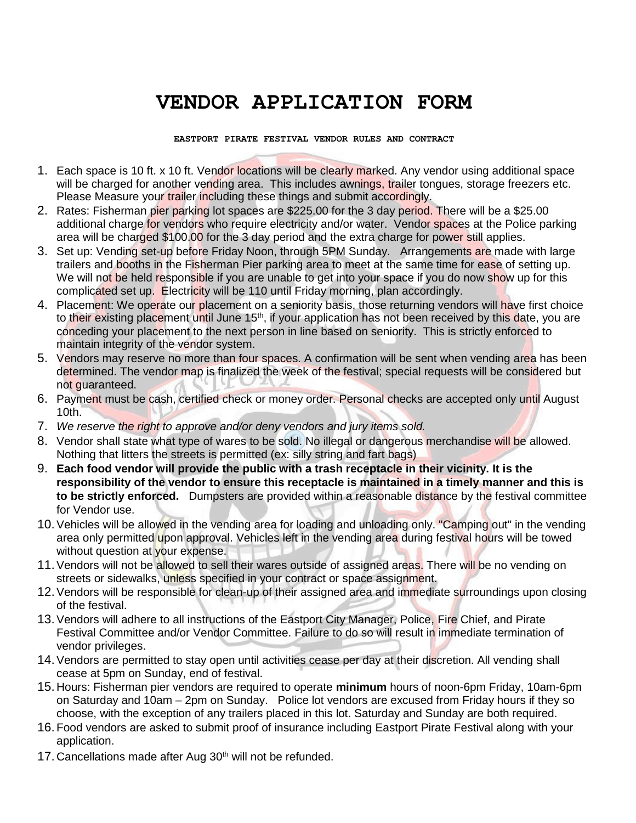## **VENDOR APPLICATION FORM**

**EASTPORT PIRATE FESTIVAL VENDOR RULES AND CONTRACT** 

- 1. Each space is 10 ft. x 10 ft. Vendor locations will be clearly marked. Any vendor using additional space will be charged for another vending area. This includes awnings, trailer tongues, storage freezers etc. Please Measure your trailer including these things and submit accordingly.
- 2. Rates: Fisherman pier parking lot spaces are \$225.00 for the 3 day period. There will be a \$25.00 additional charge for vendors who require electricity and/or water. Vendor spaces at the Police parking area will be charged \$100.00 for the 3 day period and the extra charge for power still applies.
- 3. Set up: Vending set-up before Friday Noon, through 5PM Sunday. Arrangements are made with large trailers and booths in the Fisherman Pier parking area to meet at the same time for ease of setting up. We will not be held responsible if you are unable to get into your space if you do now show up for this complicated set up. Electricity will be 110 until Friday morning, plan accordingly.
- 4. Placement: We operate our placement on a seniority basis, those returning vendors will have first choice to their existing placement until June 15<sup>th</sup>, if your application has not been received by this date, you are conceding your placement to the next person in line based on seniority. This is strictly enforced to maintain integrity of the vendor system.
- 5. Vendors may reserve no more than four spaces. A confirmation will be sent when vending area has been determined. The vendor map is finalized the week of the festival; special requests will be considered but not guaranteed.
- 6. Payment must be cash, certified check or money order. Personal checks are accepted only until August 10th.
- 7. *We reserve the right to approve and/or deny vendors and jury items sold.*
- 8. Vendor shall state what type of wares to be sold. No illegal or dangerous merchandise will be allowed. Nothing that litters the streets is permitted (ex: silly string and fart bags)
- 9. **Each food vendor will provide the public with a trash receptacle in their vicinity. It is the responsibility of the vendor to ensure this receptacle is maintained in a timely manner and this is to be strictly enforced.** Dumpsters are provided within a reasonable distance by the festival committee for Vendor use.
- 10. Vehicles will be allowed in the vending area for loading and unloading only. "Camping out" in the vending area only permitted upon approval. Vehicles left in the vending area during festival hours will be towed without question at your expense.
- 11. Vendors will not be allowed to sell their wares outside of assigned areas. There will be no vending on streets or sidewalks, unless specified in your contract or space assignment.
- 12. Vendors will be responsible for clean-up of their assigned area and immediate surroundings upon closing of the festival.
- 13. Vendors will adhere to all instructions of the Eastport City Manager, Police, Fire Chief, and Pirate Festival Committee and/or Vendor Committee. Failure to do so will result in immediate termination of vendor privileges.
- 14. Vendors are permitted to stay open until activities cease per day at their discretion. All vending shall cease at 5pm on Sunday, end of festival.
- 15. Hours: Fisherman pier vendors are required to operate **minimum** hours of noon-6pm Friday, 10am-6pm on Saturday and 10am – 2pm on Sunday. Police lot vendors are excused from Friday hours if they so choose, with the exception of any trailers placed in this lot. Saturday and Sunday are both required.
- 16. Food vendors are asked to submit proof of insurance including Eastport Pirate Festival along with your application.
- 17. Cancellations made after Aug  $30<sup>th</sup>$  will not be refunded.